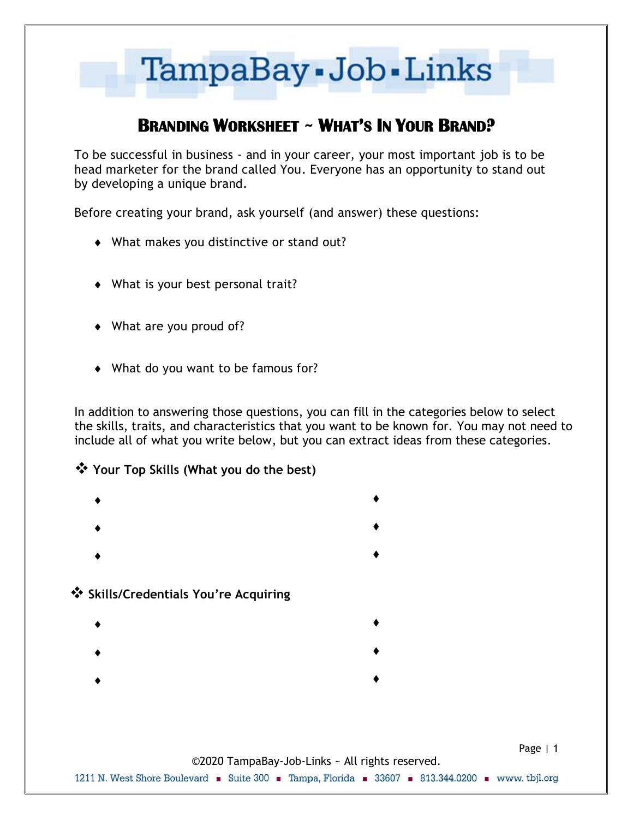

# **BRANDING WORKSHEET ~ WHAT'S IN YOUR BRAND?**

To be successful in business - and in your career, your most important job is to be head marketer for the brand called You. Everyone has an opportunity to stand out by developing a unique brand.

Before creating your brand, ask yourself (and answer) these questions:

- What makes you distinctive or stand out?
- What is your best personal trait?
- What are you proud of?
- What do you want to be famous for?

In addition to answering those questions, you can fill in the categories below to select the skills, traits, and characteristics that you want to be known for. You may not need to include all of what you write below, but you can extract ideas from these categories.

#### ❖ **Your Top Skills (What you do the best)**

- $\bullet$  and the contract of the contract of  $\bullet$
- $\bullet$  and the contract of the contract of  $\bullet$
- $\bullet$  and the contract of the contract of  $\bullet$

#### ❖ **Skills/Credentials You're Acquiring**

- $\bullet$  and the contract of the contract of  $\bullet$
- $\bullet$  and the contract of the contract of  $\bullet$
- 
- $\bullet$  and the contract of the contract of  $\bullet$
- Page | 1 ©2020 TampaBay-Job-Links ~ All rights reserved. 1211 N. West Shore Boulevard • Suite 300 • Tampa, Florida • 33607 • 813.344.0200 • www. tbjl.org